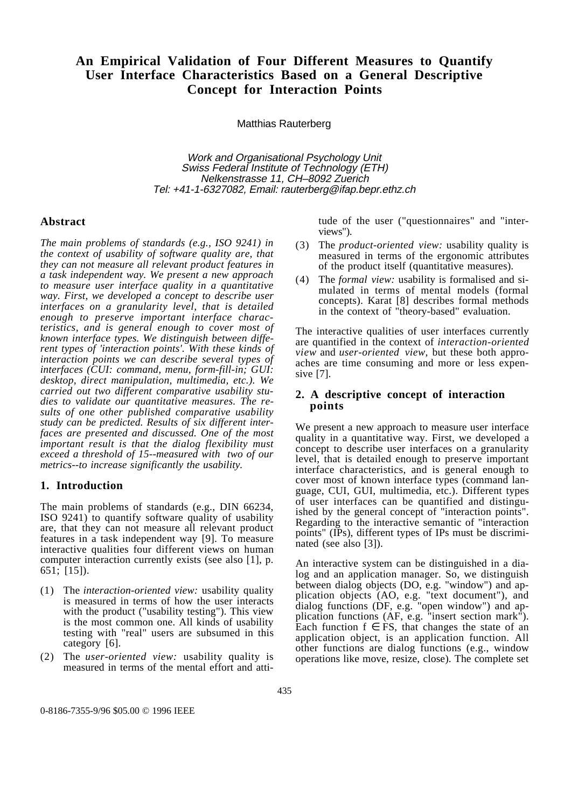# **An Empirical Validation of Four Different Measures to Quantify User Interface Characteristics Based on a General Descriptive Concept for Interaction Points**

Matthias Rauterberg

Work and Organisational Psychology Unit Swiss Federal Institute of Technology (ETH) Nelkenstrasse 11, CH–8092 Zuerich Tel: +41-1-6327082, Email: rauterberg@ifap.bepr.ethz.ch

#### **Abstract**

*The main problems of standards (e.g., ISO 9241) in the context of usability of software quality are, that they can not measure all relevant product features in a task independent way. We present a new approach to measure user interface quality in a quantitative way. First, we developed a concept to describe user interfaces on a granularity level, that is detailed enough to preserve important interface characteristics, and is general enough to cover most of known interface types. We distinguish between different types of 'interaction points'. With these kinds of interaction points we can describe several types of interfaces (CUI: command, menu, form-fill-in; GUI: desktop, direct manipulation, multimedia, etc.). We carried out two different comparative usability studies to validate our quantitative measures. The results of one other published comparative usability study can be predicted. Results of six different interfaces are presented and discussed. One of the most important result is that the dialog flexibility must exceed a threshold of 15--measured with two of our metrics--to increase significantly the usability.*

#### **1. Introduction**

The main problems of standards (e.g., DIN 66234, ISO 9241) to quantify software quality of usability are, that they can not measure all relevant product features in a task independent way [9]. To measure interactive qualities four different views on human computer interaction currently exists (see also [1], p. 651; [15]).

- (1) The *interaction-oriented view:* usability quality is measured in terms of how the user interacts with the product ("usability testing"). This view is the most common one. All kinds of usability testing with "real" users are subsumed in this category [6].
- (2) The *user-oriented view:* usability quality is measured in terms of the mental effort and atti-

tude of the user ("questionnaires" and "interviews").

- (3) The *product-oriented view:* usability quality is measured in terms of the ergonomic attributes of the product itself (quantitative measures).
- (4) The *formal view:* usability is formalised and simulated in terms of mental models (formal concepts). Karat [8] describes formal methods in the context of "theory-based" evaluation.

The interactive qualities of user interfaces currently are quantified in the context of *interaction-oriented view* and *user-oriented view*, but these both approaches are time consuming and more or less expensive [7].

# **2. A descriptive concept of interaction points**

We present a new approach to measure user interface quality in a quantitative way. First, we developed a concept to describe user interfaces on a granularity level, that is detailed enough to preserve important interface characteristics, and is general enough to cover most of known interface types (command language, CUI, GUI, multimedia, etc.). Different types of user interfaces can be quantified and distinguished by the general concept of "interaction points". Regarding to the interactive semantic of "interaction points" (IPs), different types of IPs must be discriminated (see also [3]).

An interactive system can be distinguished in a dialog and an application manager. So, we distinguish between dialog objects (DO, e.g. "window") and application objects (AO, e.g. "text document"), and dialog functions (DF, e.g. "open window") and application functions (AF, e.g. "insert section mark"). Each function  $f \in FS$ , that changes the state of an application object, is an application function. All other functions are dialog functions (e.g., window operations like move, resize, close). The complete set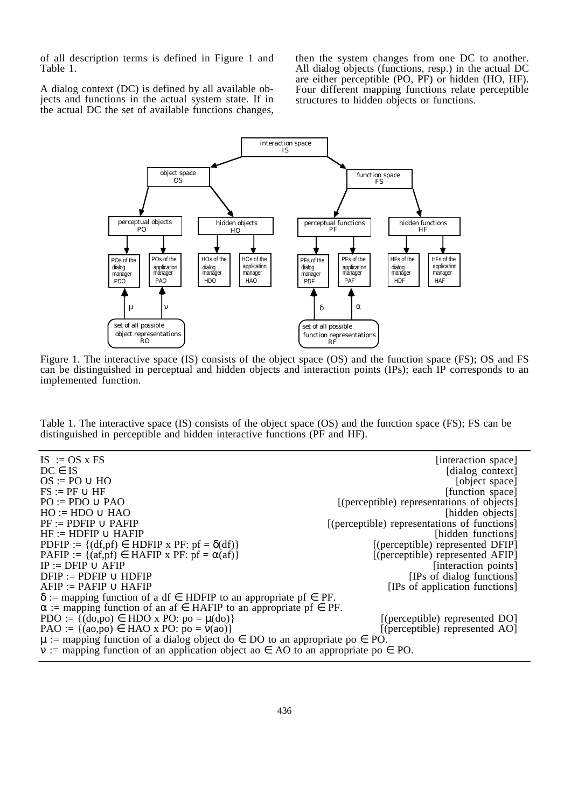of all description terms is defined in Figure 1 and Table 1.

A dialog context (DC) is defined by all available objects and functions in the actual system state. If in the actual DC the set of available functions changes, then the system changes from one DC to another. All dialog objects (functions, resp.) in the actual DC are either perceptible (PO, PF) or hidden (HO, HF). Four different mapping functions relate perceptible structures to hidden objects or functions.



Figure 1. The interactive space (IS) consists of the object space (OS) and the function space (FS); OS and FS can be distinguished in perceptual and hidden objects and interaction points (IPs); each IP corresponds to an implemented function.

Table 1. The interactive space (IS) consists of the object space (OS) and the function space (FS); FS can be distinguished in perceptible and hidden interactive functions (PF and HF).

 $IS := OS \times FS$  [interaction space]  $DC \in IS$  [dialog context]  $\text{OS} := \text{PO} \cup \text{HO}$  [object space]  $FS := PF \cup HF$  [function space] PO := PDO ∪ PAO [(perceptible) representations of objects]<br>HO := HDO ∪ HAO [hidden objects]  $HO := HDO \cup HAO$ <br> $PF := PDFIP \cup PAFIP$ [(perceptible) representations of functions] HF := HDFIP ∪ HAFIP<br>PDFIP := {(df,pf) ∈ HDFIP x PF: pf = δ(df)}<br>((perceptible) represented DFIP] PDFIP :=  $\{(df, pf) \in HDFIP \times PF: pf = \delta(df)\}\$ PAFIP := {(af,pf) ∈ HAFIP x PF: pf =  $\alpha$ (af)} [(perceptible) represented AFIP]<br>IP := DFIP ∪ AFIP  $\alpha$ [interaction points]  $DFIP := PDFIP \cup HDFIP$  [IPs of dialog functions]  $AFIP := PAFIP \cup HAFIP$  [IPs of application functions]  $\delta$  := mapping function of a df  $\epsilon$  HDFIP to an appropriate pf  $\epsilon$  PF.  $\alpha$  := mapping function of an af  $\in$  HAFIP to an appropriate pf  $\in$  PF. PDO :=  $\{(do, po) \in HDO \times PO: po = \mu(do)\}\$  [(perceptible) represented DO] PAO :=  $\{(ao, po) \in \text{HAO} \times \text{PO} : po = v(ao)\}$  [(perceptible) represented AO]  $\mu$  := mapping function of a dialog object do  $\in$  DO to an appropriate po  $\in$  PO.  $\nu$  := mapping function of an application object ao  $\in$  AO to an appropriate po  $\in$  PO.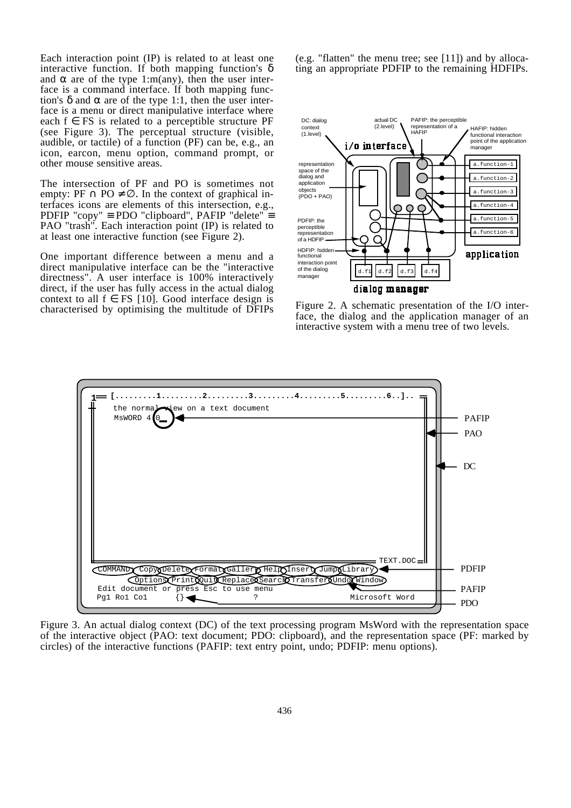Each interaction point (IP) is related to at least one interactive function. If both mapping function's  $\delta$ and  $\alpha$  are of the type 1:m(any), then the user interface is a command interface. If both mapping function's δ and α are of the type 1:1, then the user interface is a menu or direct manipulative interface where each  $f \in FS$  is related to a perceptible structure PF (see Figure 3). The perceptual structure (visible, audible, or tactile) of a function (PF) can be, e.g., an icon, earcon, menu option, command prompt, or other mouse sensitive areas.

The intersection of PF and PO is sometimes not empty: PF  $\cap$  PO  $\neq \emptyset$ . In the context of graphical interfaces icons are elements of this intersection, e.g., PDFIP "copy" ≡ PDO "clipboard", PAFIP "delete" ≡ PAO "trash". Each interaction point (IP) is related to at least one interactive function (see Figure 2).

One important difference between a menu and a direct manipulative interface can be the "interactive directness". A user interface is 100% interactively direct, if the user has fully access in the actual dialog context to all  $f \in FS$  [10]. Good interface design is characterised by optimising the multitude of DFIPs (e.g. "flatten" the menu tree; see [11]) and by allocating an appropriate PDFIP to the remaining HDFIPs.



Figure 2. A schematic presentation of the I/O interface, the dialog and the application manager of an interactive system with a menu tree of two levels.



Figure 3. An actual dialog context (DC) of the text processing program MsWord with the representation space of the interactive object (PAO: text document; PDO: clipboard), and the representation space (PF: marked by circles) of the interactive functions (PAFIP: text entry point, undo; PDFIP: menu options).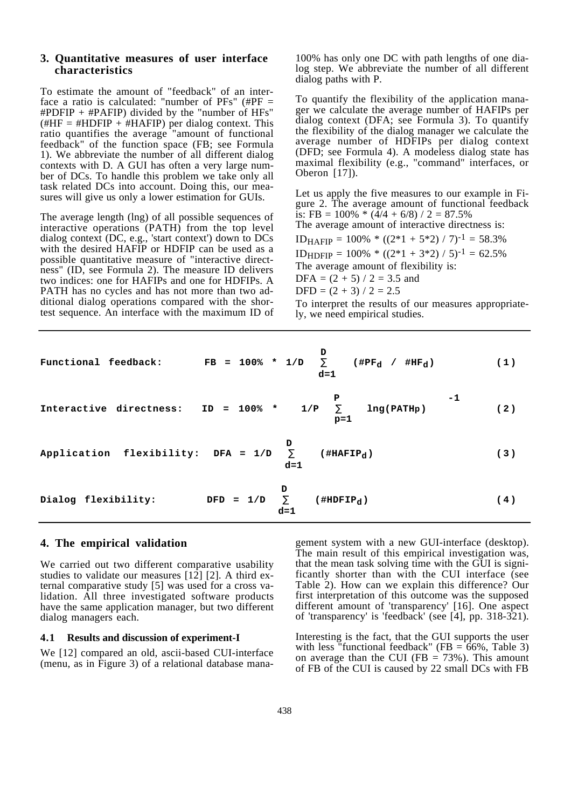#### **3. Quantitative measures of user interface characteristics**

To estimate the amount of "feedback" of an interface a ratio is calculated: "number of  $PFs''$  (# $PF =$ #PDFIP + #PAFIP) divided by the "number of HFs"  $(HHF = #HDFIP + #HAFIP)$  per dialog context. This ratio quantifies the average "amount of functional feedback" of the function space (FB; see Formula 1). We abbreviate the number of all different dialog contexts with D. A GUI has often a very large number of DCs. To handle this problem we take only all task related DCs into account. Doing this, our measures will give us only a lower estimation for GUIs.

The average length (lng) of all possible sequences of interactive operations (PATH) from the top level dialog context (DC, e.g., 'start context') down to DCs with the desired HAFIP or HDFIP can be used as a possible quantitative measure of "interactive directness" (ID, see Formula 2). The measure ID delivers two indices: one for HAFIPs and one for HDFIPs. A PATH has no cycles and has not more than two additional dialog operations compared with the shortest sequence. An interface with the maximum ID of

100% has only one DC with path lengths of one dialog step. We abbreviate the number of all different dialog paths with P.

To quantify the flexibility of the application manager we calculate the average number of HAFIPs per dialog context (DFA; see Formula 3). To quantify the flexibility of the dialog manager we calculate the average number of HDFIPs per dialog context (DFD; see Formula 4). A modeless dialog state has maximal flexibility (e.g., "command" interfaces, or Oberon [17]).

Let us apply the five measures to our example in Figure 2. The average amount of functional feedback is: FB =  $100\%$  \*  $(\frac{\cancel{4}}{4} + \cancel{6}/8)$  / 2 = 87.5% The average amount of interactive directness is:  $ID_{HAFIP} = 100\% * ((2*1 + 5*2) / 7)^{-1} = 58.3\%$ ID<sub>HDFIP</sub> =  $100\%$  \* ((2\*1 + 3\*2) / 5)<sup>-1</sup> = 62.5% The average amount of flexibility is: DFA =  $(2 + 5) / 2 = 3.5$  and  $DFD = (2 + 3) / 2 = 2.5$ To interpret the results of our measures appropriately, we need empirical studies.

|                                                                    | Functional feedback: FB = 100% * 1/D $\sum$ (#PF <sub>d</sub> / #HF <sub>d</sub> ) (1)<br>$d=1$               |     |
|--------------------------------------------------------------------|---------------------------------------------------------------------------------------------------------------|-----|
|                                                                    | Interactive directness: ID = 100% * $\begin{cases} P \\ 1/P & \sum_{p=1}^{p} \ln g(PATHp) \end{cases}$ -1 (2) |     |
| Application flexibility: DFA = $1/D$ $\sum$ (#HAFIP <sub>d</sub> ) | $d=1$                                                                                                         | (3) |
| Dialog flexibility: DFD = $1/D$ $\sum$ (#HDFIP <sub>d</sub> )      | $d=1$                                                                                                         | (4) |

# **4. The empirical validation**

We carried out two different comparative usability studies to validate our measures [12] [2]. A third external comparative study [5] was used for a cross validation. All three investigated software products have the same application manager, but two different dialog managers each.

#### **4.1 Results and discussion of experiment-I**

We [12] compared an old, ascii-based CUI-interface (menu, as in Figure 3) of a relational database mana-

gement system with a new GUI-interface (desktop). The main result of this empirical investigation was, that the mean task solving time with the GUI is significantly shorter than with the CUI interface (see Table 2). How can we explain this difference? Our first interpretation of this outcome was the supposed different amount of 'transparency' [16]. One aspect of 'transparency' is 'feedback' (see [4], pp. 318-321).

Interesting is the fact, that the GUI supports the user with less "functional feedback" (FB =  $\hat{66\%}$ , Table 3) on average than the CUI (FB  $= 73\%$ ). This amount of FB of the CUI is caused by 22 small DCs with FB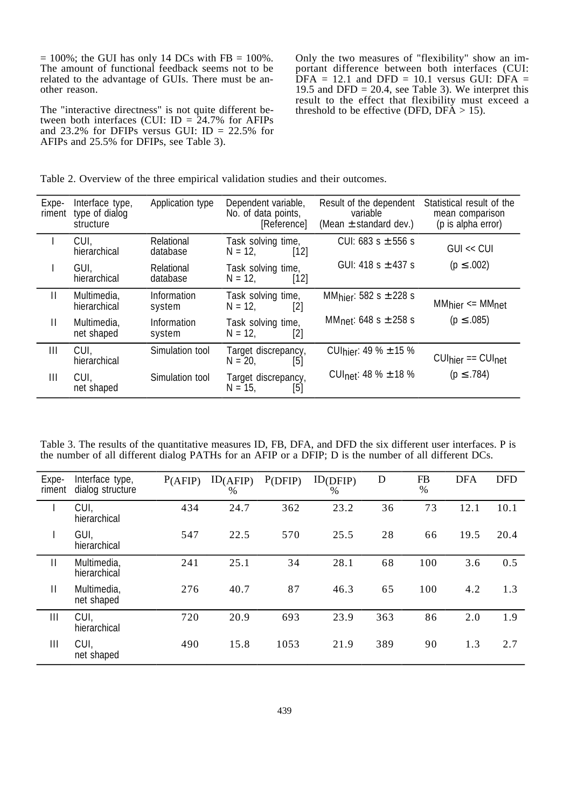$= 100\%$ ; the GUI has only 14 DCs with FB  $= 100\%$ . The amount of functional feedback seems not to be related to the advantage of GUIs. There must be another reason.

The "interactive directness" is not quite different between both interfaces (CUI:  $ID = 24.7\%$  for AFIPs and 23.2% for DFIPs versus GUI: ID =  $22.5%$  for AFIPs and 25.5% for DFIPs, see Table 3).

Only the two measures of "flexibility" show an important difference between both interfaces (CUI:  $\overline{DFA}$  = 12.1 and  $\overline{DFD}$  = 10.1 versus GUI:  $\overline{DFA}$  = 19.5 and DFD = 20.4, see Table 3). We interpret this result to the effect that flexibility must exceed a threshold to be effective (DFD,  $DF\overline{A} > 15$ ).

|  | Table 2. Overview of the three empirical validation studies and their outcomes. |
|--|---------------------------------------------------------------------------------|
|--|---------------------------------------------------------------------------------|

| Expe-<br>riment | Interface type,<br>type of dialog<br>structure | <b>Application type</b>      | Dependent variable,<br>No. of data points,<br>[Reference] | Result of the dependent<br>variable<br>(Mean $\pm$ standard dev.) | Statistical result of the<br>mean comparison<br>(p is alpha error) |
|-----------------|------------------------------------------------|------------------------------|-----------------------------------------------------------|-------------------------------------------------------------------|--------------------------------------------------------------------|
|                 | CUI.<br>hierarchical                           | Relational<br>database       | Task solving time,<br>$[12]$<br>$N = 12,$                 | CUI: 683 s $\pm$ 556 s                                            | GIII << CIII                                                       |
|                 | GUI,<br>hierarchical                           | Relational<br>database       | Task solving time,<br>$[12]$<br>$N = 12$ ,                | GUI: 418 s $\pm$ 437 s                                            | $(p \le .002)$                                                     |
| $\mathbf{H}$    | Multimedia,<br>hierarchical                    | Information<br>system        | Task solving time,<br>$N = 12$ ,<br>[2]                   | MM <sub>hier</sub> : 582 s $\pm$ 228 s                            | MM <sub>hier</sub> <  MM <sub>net</sub>                            |
| $\mathsf{II}$   | Multimedia,<br>net shaped                      | <b>Information</b><br>system | Task solving time,<br>$[2]$<br>$N = 12$ ,                 | MM <sub>net</sub> : 648 s $\pm$ 258 s                             | $(p \le .085)$                                                     |
| Ш               | CUI,<br>hierarchical                           | Simulation tool              | Target discrepancy,<br>$N = 20$ ,<br>[5]                  | CUI <sub>hier</sub> : 49 % $\pm$ 15 %                             | $CUI$ hier == $CUI$ net                                            |
| Ш               | CUI,<br>net shaped                             | Simulation tool              | Target discrepancy,<br>$N = 15$ ,<br>[5]                  | CUI <sub>net</sub> : 48 % $\pm$ 18 %                              | $(p \le .784)$                                                     |

Table 3. The results of the quantitative measures ID, FB, DFA, and DFD the six different user interfaces. P is the number of all different dialog PATHs for an AFIP or a DFIP; D is the number of all different DCs.

| Expe-<br>riment | Interface type,<br>dialog structure | P(AFIP) | ID(AFIP)<br>$\frac{0}{0}$ | P(DFIP) | ID(DFIP)<br>$\frac{0}{0}$ | D   | <b>FB</b><br>$\%$ | <b>DFA</b> | <b>DFD</b> |
|-----------------|-------------------------------------|---------|---------------------------|---------|---------------------------|-----|-------------------|------------|------------|
|                 | CUI,<br>hierarchical                | 434     | 24.7                      | 362     | 23.2                      | 36  | 73                | 12.1       | 10.1       |
|                 | GUI,<br>hierarchical                | 547     | 22.5                      | 570     | 25.5                      | 28  | 66                | 19.5       | 20.4       |
| $\mathbf{  }$   | Multimedia,<br>hierarchical         | 241     | 25.1                      | 34      | 28.1                      | 68  | 100               | 3.6        | 0.5        |
| $\mathbf{II}$   | Multimedia,<br>net shaped           | 276     | 40.7                      | 87      | 46.3                      | 65  | 100               | 4.2        | 1.3        |
| Ш               | CUI,<br>hierarchical                | 720     | 20.9                      | 693     | 23.9                      | 363 | 86                | 2.0        | 1.9        |
| III             | CUI,<br>net shaped                  | 490     | 15.8                      | 1053    | 21.9                      | 389 | 90                | 1.3        | 2.7        |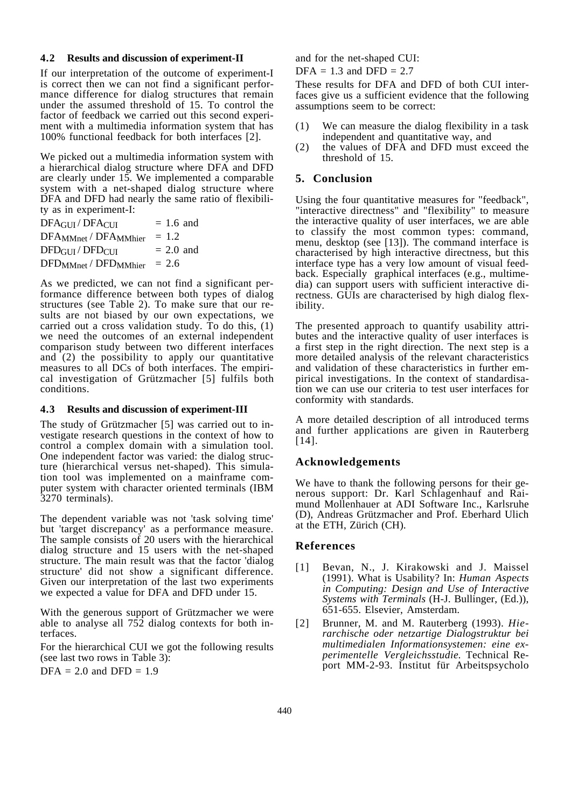#### **4.2 Results and discussion of experiment-II**

If our interpretation of the outcome of experiment-I is correct then we can not find a significant performance difference for dialog structures that remain under the assumed threshold of 15. To control the factor of feedback we carried out this second experiment with a multimedia information system that has 100% functional feedback for both interfaces [2].

We picked out a multimedia information system with a hierarchical dialog structure where DFA and DFD are clearly under 15. We implemented a comparable system with a net-shaped dialog structure where DFA and DFD had nearly the same ratio of flexibility as in experiment-I:

| $DFA$ <sub>GUI</sub> / $DFA$ <sub>CUI</sub>             | $= 1.6$ and |
|---------------------------------------------------------|-------------|
| $DFA_{MMnet} / DFA_{MMhier}$                            | $= 1.2$     |
| $\text{DFD}_{\text{GIII}} / \text{DFD}_{\text{CIII}}$   | $= 2.0$ and |
| $\text{DFD}_{\text{MMnet}}/ \text{DFD}_{\text{MMhier}}$ | $= 2.6$     |

As we predicted, we can not find a significant performance difference between both types of dialog structures (see Table 2). To make sure that our results are not biased by our own expectations, we carried out a cross validation study. To do this, (1) we need the outcomes of an external independent comparison study between two different interfaces and (2) the possibility to apply our quantitative measures to all DCs of both interfaces. The empirical investigation of Grützmacher [5] fulfils both conditions.

#### **4.3 Results and discussion of experiment-III**

The study of Grützmacher [5] was carried out to investigate research questions in the context of how to control a complex domain with a simulation tool. One independent factor was varied: the dialog structure (hierarchical versus net-shaped). This simulation tool was implemented on a mainframe computer system with character oriented terminals (IBM 3270 terminals).

The dependent variable was not 'task solving time' but 'target discrepancy' as a performance measure. The sample consists of 20 users with the hierarchical dialog structure and 15 users with the net-shaped structure. The main result was that the factor 'dialog structure' did not show a significant difference. Given our interpretation of the last two experiments we expected a value for DFA and DFD under 15.

With the generous support of Grützmacher we were able to analyse all  $752$  dialog contexts for both interfaces.

For the hierarchical CUI we got the following results (see last two rows in Table 3):

 $DFA = 2.0$  and  $DFD = 1.9$ 

and for the net-shaped CUI:

 $DFA = 1.3$  and  $DFD = 2.7$ 

These results for DFA and DFD of both CUI interfaces give us a sufficient evidence that the following assumptions seem to be correct:

- (1) We can measure the dialog flexibility in a task independent and quantitative way, and
- (2) the values of DFA and DFD must exceed the threshold of 15.

## **5. Conclusion**

Using the four quantitative measures for "feedback", "interactive directness" and "flexibility" to measure the interactive quality of user interfaces, we are able to classify the most common types: command, menu, desktop (see [13]). The command interface is characterised by high interactive directness, but this interface type has a very low amount of visual feedback. Especially graphical interfaces (e.g., multimedia) can support users with sufficient interactive directness. GUIs are characterised by high dialog flexibility.

The presented approach to quantify usability attributes and the interactive quality of user interfaces is a first step in the right direction. The next step is a more detailed analysis of the relevant characteristics and validation of these characteristics in further empirical investigations. In the context of standardisation we can use our criteria to test user interfaces for conformity with standards.

A more detailed description of all introduced terms and further applications are given in Rauterberg [14].

## **Acknowledgements**

We have to thank the following persons for their generous support: Dr. Karl Schlagenhauf and Raimund Mollenhauer at ADI Software Inc., Karlsruhe (D), Andreas Grützmacher and Prof. Eberhard Ulich at the ETH, Zürich (CH).

#### **References**

- [1] Bevan, N., J. Kirakowski and J. Maissel (1991). What is Usability? In: *Human Aspects in Computing: Design and Use of Interactive Systems with Terminals* (H-J. Bullinger, (Ed.)), 651-655. Elsevier, Amsterdam.
- [2] Brunner, M. and M. Rauterberg (1993). *Hierarchische oder netzartige Dialogstruktur bei multimedialen Informationsystemen: eine experimentelle Vergleichsstudie.* Technical Report MM-2-93. Institut für Arbeitspsycholo